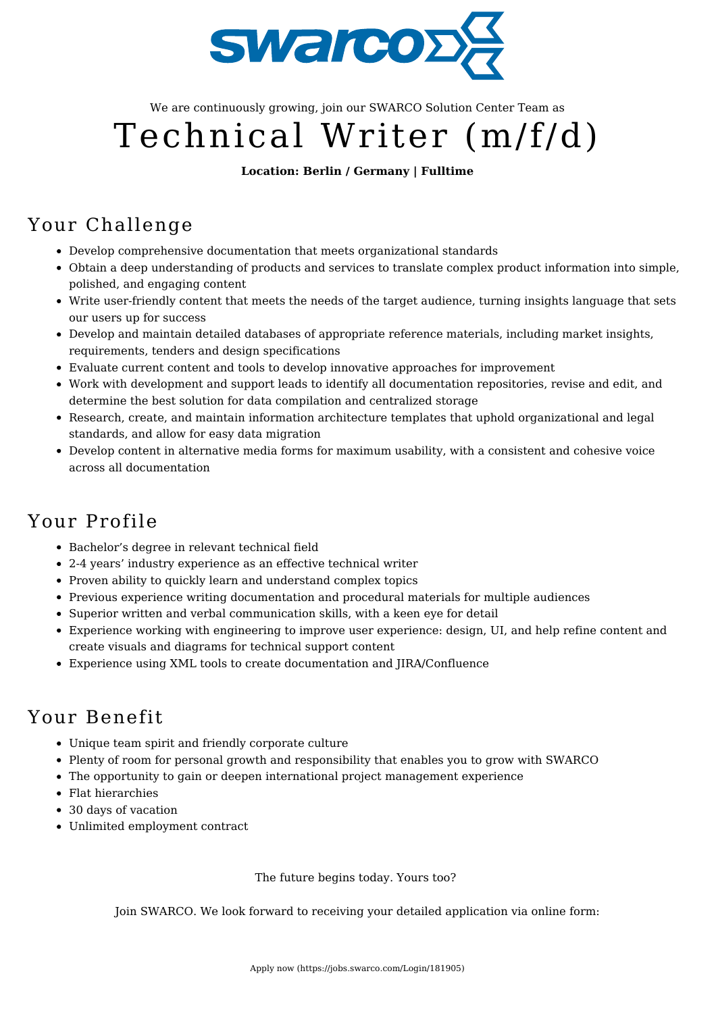

We are continuously growing, join our SWARCO Solution Center Team as

# Technical Writer (m/f/d)

#### **Location: Berlin / Germany | Fulltime**

#### Your Challenge

- Develop comprehensive documentation that meets organizational standards
- Obtain a deep understanding of products and services to translate complex product information into simple, polished, and engaging content
- Write user-friendly content that meets the needs of the target audience, turning insights language that sets our users up for success
- Develop and maintain detailed databases of appropriate reference materials, including market insights, requirements, tenders and design specifications
- Evaluate current content and tools to develop innovative approaches for improvement
- Work with development and support leads to identify all documentation repositories, revise and edit, and determine the best solution for data compilation and centralized storage
- Research, create, and maintain information architecture templates that uphold organizational and legal standards, and allow for easy data migration
- Develop content in alternative media forms for maximum usability, with a consistent and cohesive voice across all documentation

## Your Profile

- Bachelor's degree in relevant technical field
- 2-4 years' industry experience as an effective technical writer
- Proven ability to quickly learn and understand complex topics
- Previous experience writing documentation and procedural materials for multiple audiences
- Superior written and verbal communication skills, with a keen eye for detail
- Experience working with engineering to improve user experience: design, UI, and help refine content and create visuals and diagrams for technical support content
- Experience using XML tools to create documentation and JIRA/Confluence

## Your Benefit

- Unique team spirit and friendly corporate culture
- Plenty of room for personal growth and responsibility that enables you to grow with SWARCO
- The opportunity to gain or deepen international project management experience
- Flat hierarchies
- 30 days of vacation
- Unlimited employment contract

The future begins today. Yours too?

Join SWARCO. We look forward to receiving your detailed application via online form: